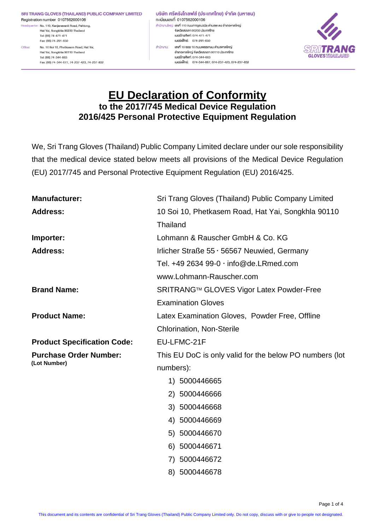SRI TRANG GLOVES (THAILAND) PUBLIC COMPANY LIMITED Registration number 0107562000106 Headquarter: No. 110, Kanjanavanit Road, Pahtong,

Hat Yai, Songkhla 90230 Thailand Tel: (66) 74-471-471 Fax: (66) 74-291-650 Office: No. 10 Soi 10, Phetkasem Road, Hat Yai. Hat Yai, Songkhla 90110 Thailand

> Tel: (66) 74-344-663 Fax: (66) 74-344-677, 74-237-423, 74-237-832

้บริษัท ศรีตรังโกลฟส์ (ประเทศไทย) จำกัด (มหาชน) ทะเบียนเลงที่ 0107562000106 ้สำนักงานใหญ่: <mark>เลงที่ 110 ถนนกาญจนวนิช ตำบลพะตง อำเภอหาดใหญ่</mark> จังหวัดสงงลา 90230 ประเทศไทย IUOSInsříwn: 074-471-471 เบอร์แฟ็กซ์: 074-291-650 สำนักงาน: เลพที่ 10 ซอย 10 ถนนเพชรเกษม ตำบลหาคใหญ่ อำเภอหาคใหญ่ จังหวัดสงขลา 90110 ประเทศไทย IUOSInsAwn: 074-344-663 เบอร์แฟ็กซ์: 074-344-667, 074-237-423, 074-237-832



# **EU Declaration of Conformity to the 2017/745 Medical Device Regulation 2016/425 Personal Protective Equipment Regulation**

We, Sri Trang Gloves (Thailand) Public Company Limited declare under our sole responsibility that the medical device stated below meets all provisions of the Medical Device Regulation (EU) 2017/745 and Personal Protective Equipment Regulation (EU) 2016/425.

| <b>Manufacturer:</b>               | Sri Trang Gloves (Thailand) Public Company Limited      |  |  |
|------------------------------------|---------------------------------------------------------|--|--|
| <b>Address:</b>                    | 10 Soi 10, Phetkasem Road, Hat Yai, Songkhla 90110      |  |  |
|                                    | Thailand                                                |  |  |
| Importer:                          | Lohmann & Rauscher GmbH & Co. KG                        |  |  |
| <b>Address:</b>                    | Irlicher Straße $55 \cdot 56567$ Neuwied, Germany       |  |  |
|                                    | Tel. $+49$ 2634 99-0 $\cdot$ info@de.LRmed.com          |  |  |
|                                    | www.Lohmann-Rauscher.com                                |  |  |
| <b>Brand Name:</b>                 | SRITRANG™ GLOVES Vigor Latex Powder-Free                |  |  |
|                                    | <b>Examination Gloves</b>                               |  |  |
| <b>Product Name:</b>               | Latex Examination Gloves, Powder Free, Offline          |  |  |
|                                    | <b>Chlorination, Non-Sterile</b>                        |  |  |
| <b>Product Specification Code:</b> | EU-LFMC-21F                                             |  |  |
| <b>Purchase Order Number:</b>      | This EU DoC is only valid for the below PO numbers (lot |  |  |
| (Lot Number)                       | numbers):                                               |  |  |
|                                    | 1) 5000446665                                           |  |  |
|                                    | 2) 5000446666                                           |  |  |
|                                    | 3) 5000446668                                           |  |  |
|                                    | 4) 5000446669                                           |  |  |
|                                    | 5) 5000446670                                           |  |  |
|                                    | 6) 5000446671                                           |  |  |
|                                    | 7) 5000446672                                           |  |  |
|                                    | 8) 5000446678                                           |  |  |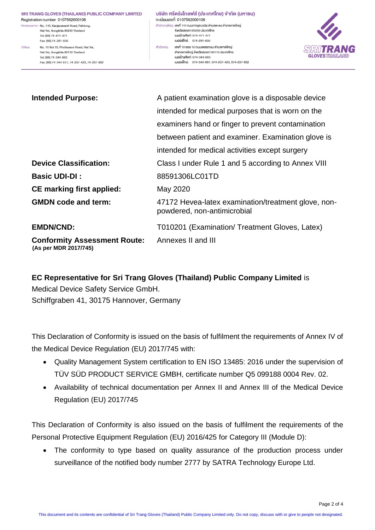### SRI TRANG GLOVES (THAILAND) PUBLIC COMPANY LIMITED

Registration number 0107562000106 Headquarter: No. 110, Kanjanavanit Road, Pahtong, Hat Yai, Songkhla 90230 Thailand Tel: (66) 74-471-471 Fax: (66) 74-291-650 Office: No. 10 Soi 10, Phetkasem Road, Hat Yai. Hat Yai, Songkhla 90110 Thailand Tel: (66) 74-344-663 Fax: (66) 74-344-677, 74-237-423, 74-237-832

#### ้บริษัท ศรีตรังโกลฟส์ (ประเทศไทย) จำกัด (มหาชน) ทะเบียนเลงที่ 0107562000106 สำนักงานใหญ่: เ<mark>ลงที่ 110 ถนนกาญจนวนิช ตำบลพะตง อำเภอหาคใหญ่</mark> จังหวัดสงขลา 90230 ประเทศไทย IUOSInsñwn: 074-471-471 เบอร์แฟ็กซ์: 074-291-650 .<br>สำนักงาน: เลขที่ 10 ซอย 10 ถนนเพชรเกษม คำบลหาคใหญ่ อำเภอหาดใหญ่ จังหวัดสงขลา 90110 ประเทศไทย IU<sub>0</sub>slnsřiwn: 074-344-663 เบอร์แฟ็กซ์: 074-344-667, 074-237-423, 074-237-832



| <b>Intended Purpose:</b>                                     | A patient examination glove is a disposable device                                 |
|--------------------------------------------------------------|------------------------------------------------------------------------------------|
|                                                              | intended for medical purposes that is worn on the                                  |
|                                                              | examiners hand or finger to prevent contamination                                  |
|                                                              | between patient and examiner. Examination glove is                                 |
|                                                              | intended for medical activities except surgery                                     |
| <b>Device Classification:</b>                                | Class I under Rule 1 and 5 according to Annex VIII                                 |
| <b>Basic UDI-DI:</b>                                         | 88591306LC01TD                                                                     |
| <b>CE marking first applied:</b>                             | May 2020                                                                           |
| <b>GMDN</b> code and term:                                   | 47172 Hevea-latex examination/treatment glove, non-<br>powdered, non-antimicrobial |
| <b>EMDN/CND:</b>                                             | T010201 (Examination/ Treatment Gloves, Latex)                                     |
| <b>Conformity Assessment Route:</b><br>(As per MDR 2017/745) | Annexes II and III                                                                 |

**EC Representative for Sri Trang Gloves (Thailand) Public Company Limited** is Medical Device Safety Service GmbH. Schiffgraben 41, 30175 Hannover, Germany

This Declaration of Conformity is issued on the basis of fulfilment the requirements of Annex IV of the Medical Device Regulation (EU) 2017/745 with:

- Quality Management System certification to EN ISO 13485: 2016 under the supervision of TÜV SÜD PRODUCT SERVICE GMBH, certificate number Q5 099188 0004 Rev. 02.
- Availability of technical documentation per Annex II and Annex III of the Medical Device Regulation (EU) 2017/745

This Declaration of Conformity is also issued on the basis of fulfilment the requirements of the Personal Protective Equipment Regulation (EU) 2016/425 for Category III (Module D):

 The conformity to type based on quality assurance of the production process under surveillance of the notified body number 2777 by SATRA Technology Europe Ltd.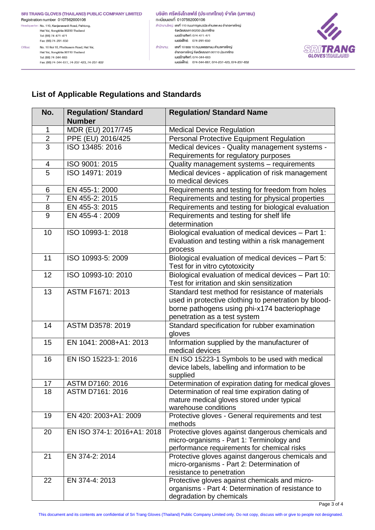#### SRI TRANG GLOVES (THAILAND) PUBLIC COMPANY LIMITED Registration number 0107562000106

Headquarter: No. 110, Kanjanavanit Road, Pahtong, Hat Yai, Songkhla 90230 Thailand

Tel: (66) 74-471-471 Fax: (66) 74-291-650 No. 10 Soi 10, Phetkasem Road, Hat Yai, Office:

Hat Yai, Songkhla 90110 Thailand Tel: (66) 74-344-663 Fax: (66) 74-344-677, 74-237-423, 74-237-832

#### บริษัท ศรีตรังโกลฟส์ (ประเทศไทย) จำกัด (มหาชน) ทะเบียนเลงที่ 0107562000106 ้สำนักงานใหญ่: <mark>เลงที่ 110 ถนนกาญจนวนิช ตำบลพะตง อำเภอหาดใหญ่</mark> จังหวัดสงขลา 90230 ประเทศไทย IUOSInsñwń: 074-471-471 เบอร์แฟ็กซ์: 074-291-650 .<br>สำนักงาน: **เลงที่ 10 ซอย 10 ถนนเพชรเกษม คำบลหาคใหญ่** rueslnshwn: 074-344-663 เบอร์แฟ็กซ์: 074-344-667, 074-237-423, 074-237-832



## **List of Applicable Regulations and Standards**

| No.                     | <b>Regulation/ Standard</b><br><b>Number</b> | <b>Regulation/ Standard Name</b>                                                              |  |
|-------------------------|----------------------------------------------|-----------------------------------------------------------------------------------------------|--|
| 1                       | MDR (EU) 2017/745                            | <b>Medical Device Regulation</b>                                                              |  |
| $\overline{2}$          | PPE (EU) 2016/425                            | <b>Personal Protective Equipment Regulation</b>                                               |  |
| $\overline{3}$          | ISO 13485: 2016                              | Medical devices - Quality management systems -                                                |  |
|                         |                                              | Requirements for regulatory purposes                                                          |  |
| $\overline{\mathbf{4}}$ | ISO 9001: 2015                               | Quality management systems - requirements                                                     |  |
| 5                       | ISO 14971: 2019                              | Medical devices - application of risk management                                              |  |
|                         |                                              | to medical devices                                                                            |  |
| 6                       | EN 455-1: 2000                               | Requirements and testing for freedom from holes                                               |  |
| $\overline{7}$          | EN 455-2: 2015                               | Requirements and testing for physical properties                                              |  |
| 8                       | EN 455-3: 2015                               | Requirements and testing for biological evaluation                                            |  |
| 9                       | EN 455-4: 2009                               | Requirements and testing for shelf life                                                       |  |
|                         |                                              | determination                                                                                 |  |
| 10                      | ISO 10993-1: 2018                            | Biological evaluation of medical devices - Part 1:                                            |  |
|                         |                                              | Evaluation and testing within a risk management                                               |  |
|                         |                                              | process                                                                                       |  |
| 11                      | ISO 10993-5: 2009                            | Biological evaluation of medical devices - Part 5:                                            |  |
|                         |                                              | Test for in vitro cytotoxicity                                                                |  |
| 12                      | ISO 10993-10: 2010                           | Biological evaluation of medical devices - Part 10:                                           |  |
|                         |                                              | Test for irritation and skin sensitization                                                    |  |
| 13                      | ASTM F1671: 2013                             | Standard test method for resistance of materials                                              |  |
|                         |                                              | used in protective clothing to penetration by blood-                                          |  |
|                         |                                              | borne pathogens using phi-x174 bacteriophage                                                  |  |
|                         |                                              | penetration as a test system                                                                  |  |
| 14                      | ASTM D3578: 2019                             | Standard specification for rubber examination                                                 |  |
|                         |                                              | gloves                                                                                        |  |
| 15                      | EN 1041: 2008+A1: 2013                       | Information supplied by the manufacturer of                                                   |  |
|                         |                                              | medical devices                                                                               |  |
| 16                      | EN ISO 15223-1: 2016                         | EN ISO 15223-1 Symbols to be used with medical                                                |  |
|                         |                                              | device labels, labelling and information to be                                                |  |
|                         |                                              | supplied                                                                                      |  |
| 17                      | ASTM D7160: 2016                             | Determination of expiration dating for medical gloves                                         |  |
| 18                      | ASTM D7161: 2016                             | Determination of real time expiration dating of<br>mature medical gloves stored under typical |  |
|                         |                                              | warehouse conditions                                                                          |  |
| 19                      | EN 420: 2003+A1: 2009                        | Protective gloves - General requirements and test                                             |  |
|                         |                                              | methods                                                                                       |  |
| 20                      | EN ISO 374-1: 2016+A1: 2018                  | Protective gloves against dangerous chemicals and                                             |  |
|                         |                                              | micro-organisms - Part 1: Terminology and                                                     |  |
|                         |                                              | performance requirements for chemical risks                                                   |  |
| 21                      | EN 374-2: 2014                               | Protective gloves against dangerous chemicals and                                             |  |
|                         |                                              | micro-organisms - Part 2: Determination of                                                    |  |
|                         |                                              | resistance to penetration                                                                     |  |
| 22                      | EN 374-4: 2013                               | Protective gloves against chemicals and micro-                                                |  |
|                         |                                              | organisms - Part 4: Determination of resistance to                                            |  |
|                         |                                              | degradation by chemicals                                                                      |  |